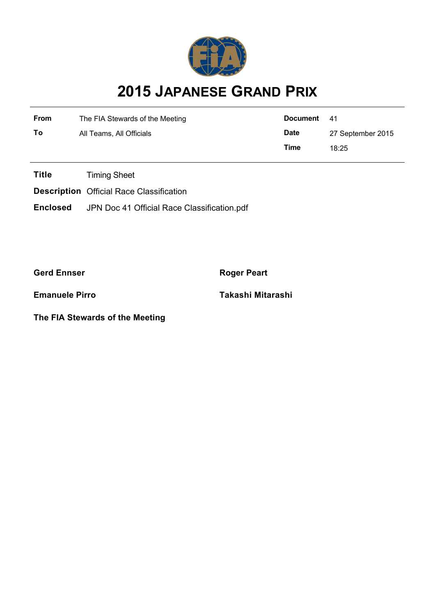

# **2015 JAPANESE GRAND PRIX**

| <b>From</b> | The FIA Stewards of the Meeting | Document 41 |                   |  |
|-------------|---------------------------------|-------------|-------------------|--|
| To          | All Teams, All Officials        | <b>Date</b> | 27 September 2015 |  |
|             |                                 | Time        | 18:25             |  |

**Title** Timing Sheet

**Description** Official Race Classification

**Enclosed** JPN Doc 41 Official Race Classification.pdf

**Gerd Ennser Roger Peart** 

**The FIA Stewards of the Meeting**

**Emanuele Pirro Takashi Mitarashi**